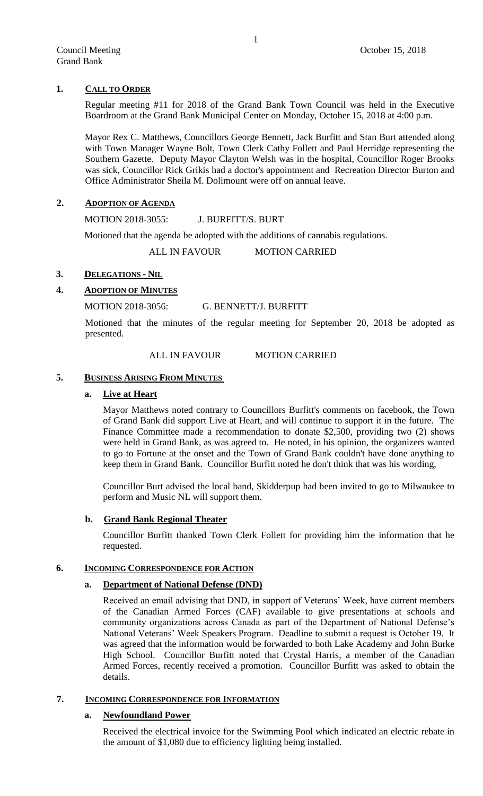# **1. CALL TO ORDER**

Regular meeting #11 for 2018 of the Grand Bank Town Council was held in the Executive Boardroom at the Grand Bank Municipal Center on Monday, October 15, 2018 at 4:00 p.m.

Mayor Rex C. Matthews, Councillors George Bennett, Jack Burfitt and Stan Burt attended along with Town Manager Wayne Bolt, Town Clerk Cathy Follett and Paul Herridge representing the Southern Gazette. Deputy Mayor Clayton Welsh was in the hospital, Councillor Roger Brooks was sick, Councillor Rick Grikis had a doctor's appointment and Recreation Director Burton and Office Administrator Sheila M. Dolimount were off on annual leave.

# **2. ADOPTION OF AGENDA**

MOTION 2018-3055: J. BURFITT/S. BURT

Motioned that the agenda be adopted with the additions of cannabis regulations.

ALL IN FAVOUR MOTION CARRIED

# **3. DELEGATIONS - NIL**

# **4. ADOPTION OF MINUTES**

# MOTION 2018-3056: G. BENNETT/J. BURFITT

Motioned that the minutes of the regular meeting for September 20, 2018 be adopted as presented.

# ALL IN FAVOUR MOTION CARRIED

## **5. BUSINESS ARISING FROM MINUTES**

## **a. Live at Heart**

Mayor Matthews noted contrary to Councillors Burfitt's comments on facebook, the Town of Grand Bank did support Live at Heart, and will continue to support it in the future. The Finance Committee made a recommendation to donate \$2,500, providing two (2) shows were held in Grand Bank, as was agreed to. He noted, in his opinion, the organizers wanted to go to Fortune at the onset and the Town of Grand Bank couldn't have done anything to keep them in Grand Bank. Councillor Burfitt noted he don't think that was his wording,

Councillor Burt advised the local band, Skidderpup had been invited to go to Milwaukee to perform and Music NL will support them.

# **b. Grand Bank Regional Theater**

Councillor Burfitt thanked Town Clerk Follett for providing him the information that he requested.

# **6. INCOMING CORRESPONDENCE FOR ACTION**

# **a. Department of National Defense (DND)**

Received an email advising that DND, in support of Veterans' Week, have current members of the Canadian Armed Forces (CAF) available to give presentations at schools and community organizations across Canada as part of the Department of National Defense's National Veterans' Week Speakers Program. Deadline to submit a request is October 19. It was agreed that the information would be forwarded to both Lake Academy and John Burke High School. Councillor Burfitt noted that Crystal Harris, a member of the Canadian Armed Forces, recently received a promotion. Councillor Burfitt was asked to obtain the details.

# **7. INCOMING CORRESPONDENCE FOR INFORMATION**

# **a. Newfoundland Power**

Received the electrical invoice for the Swimming Pool which indicated an electric rebate in the amount of \$1,080 due to efficiency lighting being installed.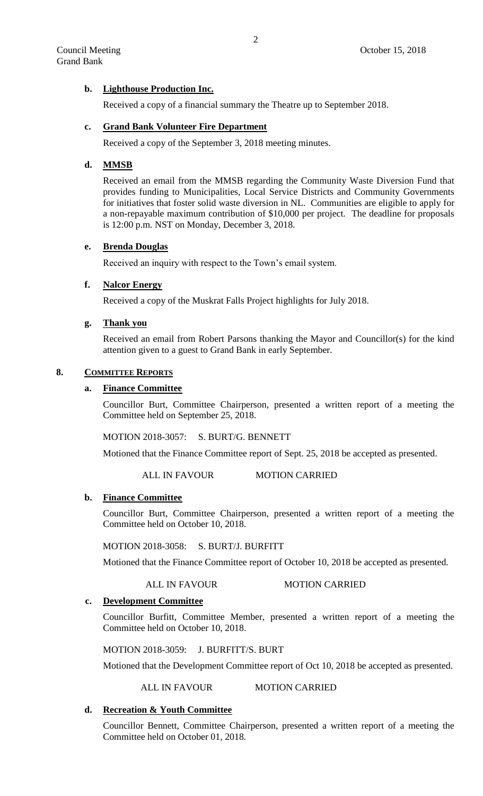# **b. Lighthouse Production Inc.**

Received a copy of a financial summary the Theatre up to September 2018.

## **c. Grand Bank Volunteer Fire Department**

Received a copy of the September 3, 2018 meeting minutes.

## **d. MMSB**

Received an email from the MMSB regarding the Community Waste Diversion Fund that provides funding to Municipalities, Local Service Districts and Community Governments for initiatives that foster solid waste diversion in NL. Communities are eligible to apply for a non-repayable maximum contribution of \$10,000 per project. The deadline for proposals is 12:00 p.m. NST on Monday, December 3, 2018.

# **e. Brenda Douglas**

Received an inquiry with respect to the Town's email system.

# **f. Nalcor Energy**

Received a copy of the Muskrat Falls Project highlights for July 2018.

# **g. Thank you**

Received an email from Robert Parsons thanking the Mayor and Councillor(s) for the kind attention given to a guest to Grand Bank in early September.

## **8. COMMITTEE REPORTS**

# **a. Finance Committee**

Councillor Burt, Committee Chairperson, presented a written report of a meeting the Committee held on September 25, 2018.

MOTION 2018-3057: S. BURT/G. BENNETT

Motioned that the Finance Committee report of Sept. 25, 2018 be accepted as presented.

ALL IN FAVOUR MOTION CARRIED

## **b. Finance Committee**

Councillor Burt, Committee Chairperson, presented a written report of a meeting the Committee held on October 10, 2018.

MOTION 2018-3058: S. BURT/J. BURFITT

Motioned that the Finance Committee report of October 10, 2018 be accepted as presented.

ALL IN FAVOUR MOTION CARRIED

## **c. Development Committee**

Councillor Burfitt, Committee Member, presented a written report of a meeting the Committee held on October 10, 2018.

MOTION 2018-3059: J. BURFITT/S. BURT

Motioned that the Development Committee report of Oct 10, 2018 be accepted as presented.

ALL IN FAVOUR MOTION CARRIED

# **d. Recreation & Youth Committee**

Councillor Bennett, Committee Chairperson, presented a written report of a meeting the Committee held on October 01, 2018.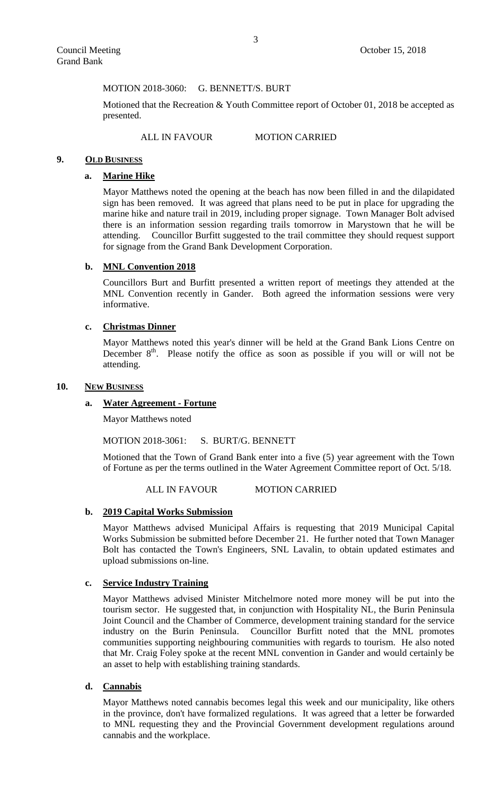MOTION 2018-3060: G. BENNETT/S. BURT

Motioned that the Recreation & Youth Committee report of October 01, 2018 be accepted as presented.

ALL IN FAVOUR MOTION CARRIED

### **9. OLD BUSINESS**

## **a. Marine Hike**

Mayor Matthews noted the opening at the beach has now been filled in and the dilapidated sign has been removed. It was agreed that plans need to be put in place for upgrading the marine hike and nature trail in 2019, including proper signage. Town Manager Bolt advised there is an information session regarding trails tomorrow in Marystown that he will be attending. Councillor Burfitt suggested to the trail committee they should request support for signage from the Grand Bank Development Corporation.

### **b. MNL Convention 2018**

Councillors Burt and Burfitt presented a written report of meetings they attended at the MNL Convention recently in Gander. Both agreed the information sessions were very informative.

## **c. Christmas Dinner**

Mayor Matthews noted this year's dinner will be held at the Grand Bank Lions Centre on December  $8<sup>th</sup>$ . Please notify the office as soon as possible if you will or will not be attending.

#### **10. NEW BUSINESS**

## **a. Water Agreement - Fortune**

Mayor Matthews noted

MOTION 2018-3061: S. BURT/G. BENNETT

Motioned that the Town of Grand Bank enter into a five (5) year agreement with the Town of Fortune as per the terms outlined in the Water Agreement Committee report of Oct. 5/18.

ALL IN FAVOUR MOTION CARRIED

#### **b. 2019 Capital Works Submission**

Mayor Matthews advised Municipal Affairs is requesting that 2019 Municipal Capital Works Submission be submitted before December 21. He further noted that Town Manager Bolt has contacted the Town's Engineers, SNL Lavalin, to obtain updated estimates and upload submissions on-line.

## **c. Service Industry Training**

Mayor Matthews advised Minister Mitchelmore noted more money will be put into the tourism sector. He suggested that, in conjunction with Hospitality NL, the Burin Peninsula Joint Council and the Chamber of Commerce, development training standard for the service industry on the Burin Peninsula. Councillor Burfitt noted that the MNL promotes communities supporting neighbouring communities with regards to tourism. He also noted that Mr. Craig Foley spoke at the recent MNL convention in Gander and would certainly be an asset to help with establishing training standards.

# **d. Cannabis**

Mayor Matthews noted cannabis becomes legal this week and our municipality, like others in the province, don't have formalized regulations. It was agreed that a letter be forwarded to MNL requesting they and the Provincial Government development regulations around cannabis and the workplace.